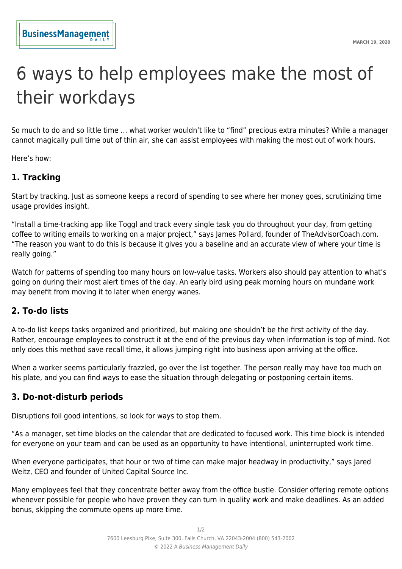# 6 ways to help employees make the most of their workdays

So much to do and so little time … what worker wouldn't like to "find" precious extra minutes? While a manager cannot magically pull time out of thin air, she can assist employees with making the most out of work hours.

Here's how:

## **1. Tracking**

Start by tracking. Just as someone keeps a record of spending to see where her money goes, scrutinizing time usage provides insight.

"Install a time-tracking app like Toggl and track every single task you do throughout your day, from getting coffee to writing emails to working on a major project," says James Pollard, founder of TheAdvisorCoach.com. "The reason you want to do this is because it gives you a baseline and an accurate view of where your time is really going."

Watch for patterns of spending too many hours on low-value tasks. Workers also should pay attention to what's going on during their most alert times of the day. An early bird using peak morning hours on mundane work may benefit from moving it to later when energy wanes.

#### **2. To-do lists**

A to-do list keeps tasks organized and prioritized, but making one shouldn't be the first activity of the day. Rather, encourage employees to construct it at the end of the previous day when information is top of mind. Not only does this method save recall time, it allows jumping right into business upon arriving at the office.

When a worker seems particularly frazzled, go over the list together. The person really may have too much on his plate, and you can find ways to ease the situation through delegating or postponing certain items.

#### **3. Do-not-disturb periods**

Disruptions foil good intentions, so look for ways to stop them.

"As a manager, set time blocks on the calendar that are dedicated to focused work. This time block is intended for everyone on your team and can be used as an opportunity to have intentional, uninterrupted work time.

When everyone participates, that hour or two of time can make major headway in productivity," says Jared Weitz, CEO and founder of United Capital Source Inc.

Many employees feel that they concentrate better away from the office bustle. Consider offering remote options whenever possible for people who have proven they can turn in quality work and make deadlines. As an added bonus, skipping the commute opens up more time.